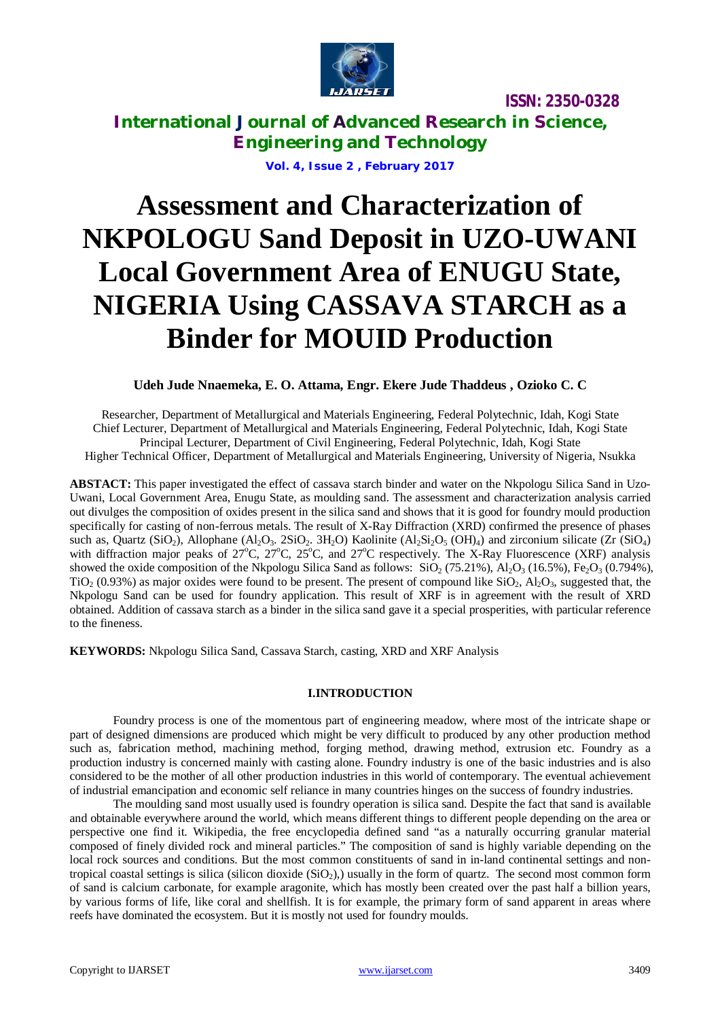

**International Journal of Advanced Research in Science, Engineering and Technology**

**Vol. 4, Issue 2 , February 2017**

# **Assessment and Characterization of NKPOLOGU Sand Deposit in UZO-UWANI Local Government Area of ENUGU State, NIGERIA Using CASSAVA STARCH as a Binder for MOUID Production**

**Udeh Jude Nnaemeka, E. O. Attama, Engr. Ekere Jude Thaddeus , Ozioko C. C**

Researcher, Department of Metallurgical and Materials Engineering, Federal Polytechnic, Idah, Kogi State Chief Lecturer, Department of Metallurgical and Materials Engineering, Federal Polytechnic, Idah, Kogi State Principal Lecturer, Department of Civil Engineering, Federal Polytechnic, Idah, Kogi State Higher Technical Officer, Department of Metallurgical and Materials Engineering, University of Nigeria, Nsukka

**ABSTACT:** This paper investigated the effect of cassava starch binder and water on the Nkpologu Silica Sand in Uzo-Uwani, Local Government Area, Enugu State, as moulding sand. The assessment and characterization analysis carried out divulges the composition of oxides present in the silica sand and shows that it is good for foundry mould production specifically for casting of non-ferrous metals. The result of X-Ray Diffraction (XRD) confirmed the presence of phases such as, Quartz (SiQ<sub>2</sub>), Allophane (Al<sub>2</sub>O<sub>3</sub>, 2SiQ<sub>2</sub>, 3H<sub>2</sub>O) Kaolinite (Al<sub>2</sub>Si<sub>2</sub>O<sub>5</sub> (OH)<sub>4</sub>) and zirconium silicate (Zr (SiQ<sub>4</sub>) with diffraction major peaks of 27°C, 27°C, 25°C, and 27°C respectively. The X-Ray Fluorescence (XRF) analysis showed the oxide composition of the Nkpologu Silica Sand as follows:  $SiO_2$  (75.21%), Al<sub>2</sub>O<sub>3</sub> (16.5%), Fe<sub>2</sub>O<sub>3</sub> (0.794%),  $TiO<sub>2</sub>$  (0.93%) as major oxides were found to be present. The present of compound like  $SiO<sub>2</sub>$ , Al<sub>2</sub>O<sub>3</sub>, suggested that, the Nkpologu Sand can be used for foundry application. This result of XRF is in agreement with the result of XRD obtained. Addition of cassava starch as a binder in the silica sand gave it a special prosperities, with particular reference to the fineness.

**KEYWORDS:** Nkpologu Silica Sand, Cassava Starch, casting, XRD and XRF Analysis

#### **I.INTRODUCTION**

Foundry process is one of the momentous part of engineering meadow, where most of the intricate shape or part of designed dimensions are produced which might be very difficult to produced by any other production method such as, fabrication method, machining method, forging method, drawing method, extrusion etc. Foundry as a production industry is concerned mainly with casting alone. Foundry industry is one of the basic industries and is also considered to be the mother of all other production industries in this world of contemporary. The eventual achievement of industrial emancipation and economic self reliance in many countries hinges on the success of foundry industries.

The moulding sand most usually used is foundry operation is silica sand. Despite the fact that sand is available and obtainable everywhere around the world, which means different things to different people depending on the area or perspective one find it. Wikipedia, the free encyclopedia defined sand "as a naturally occurring granular material composed of finely divided rock and mineral particles." The composition of sand is highly variable depending on the local rock sources and conditions. But the most common constituents of sand in in-land continental settings and nontropical coastal settings is silica (silicon dioxide  $(SiO<sub>2</sub>)$ ), usually in the form of quartz. The second most common form of sand is calcium carbonate, for example aragonite, which has mostly been created over the past half a billion years, by various forms of life, like coral and shellfish. It is for example, the primary form of sand apparent in areas where reefs have dominated the ecosystem. But it is mostly not used for foundry moulds.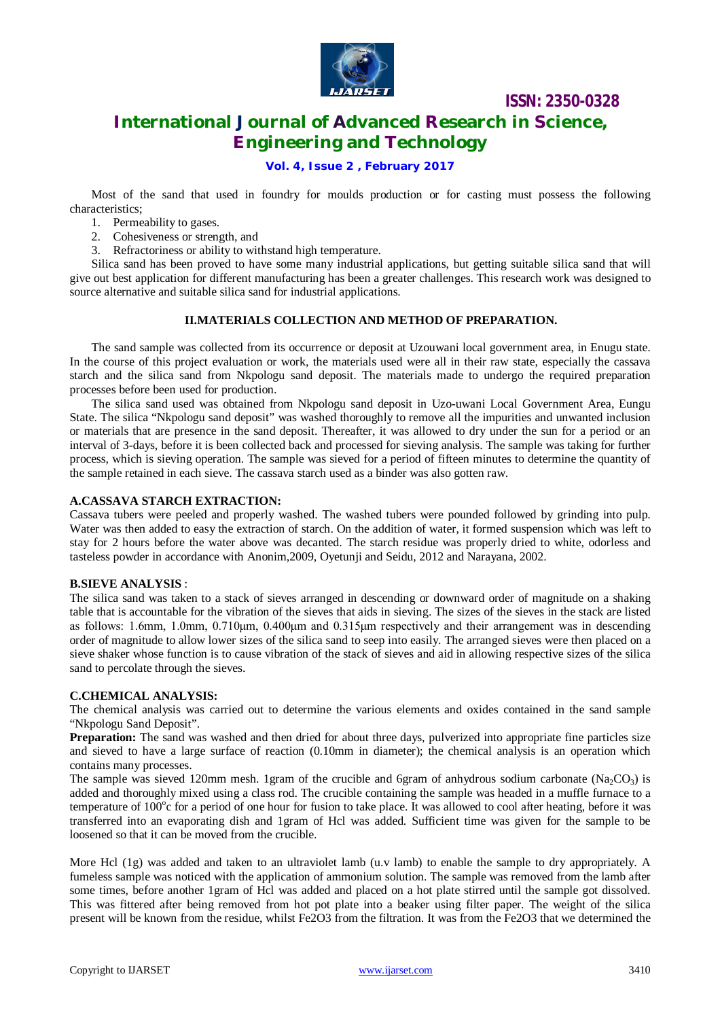

# **International Journal of Advanced Research in Science, Engineering and Technology**

**ISSN: 2350-0328**

#### **Vol. 4, Issue 2 , February 2017**

Most of the sand that used in foundry for moulds production or for casting must possess the following characteristics;

- 1. Permeability to gases.
- 2. Cohesiveness or strength, and
- 3. Refractoriness or ability to withstand high temperature.

Silica sand has been proved to have some many industrial applications, but getting suitable silica sand that will give out best application for different manufacturing has been a greater challenges. This research work was designed to source alternative and suitable silica sand for industrial applications.

#### **II.MATERIALS COLLECTION AND METHOD OF PREPARATION.**

The sand sample was collected from its occurrence or deposit at Uzouwani local government area, in Enugu state. In the course of this project evaluation or work, the materials used were all in their raw state, especially the cassava starch and the silica sand from Nkpologu sand deposit. The materials made to undergo the required preparation processes before been used for production.

The silica sand used was obtained from Nkpologu sand deposit in Uzo-uwani Local Government Area, Eungu State. The silica "Nkpologu sand deposit" was washed thoroughly to remove all the impurities and unwanted inclusion or materials that are presence in the sand deposit. Thereafter, it was allowed to dry under the sun for a period or an interval of 3-days, before it is been collected back and processed for sieving analysis. The sample was taking for further process, which is sieving operation. The sample was sieved for a period of fifteen minutes to determine the quantity of the sample retained in each sieve. The cassava starch used as a binder was also gotten raw.

#### **A.CASSAVA STARCH EXTRACTION:**

Cassava tubers were peeled and properly washed. The washed tubers were pounded followed by grinding into pulp. Water was then added to easy the extraction of starch. On the addition of water, it formed suspension which was left to stay for 2 hours before the water above was decanted. The starch residue was properly dried to white, odorless and tasteless powder in accordance with Anonim,2009, Oyetunji and Seidu, 2012 and Narayana, 2002.

#### **B.SIEVE ANALYSIS** :

The silica sand was taken to a stack of sieves arranged in descending or downward order of magnitude on a shaking table that is accountable for the vibration of the sieves that aids in sieving. The sizes of the sieves in the stack are listed as follows: 1.6mm, 1.0mm, 0.710μm, 0.400μm and 0.315μm respectively and their arrangement was in descending order of magnitude to allow lower sizes of the silica sand to seep into easily. The arranged sieves were then placed on a sieve shaker whose function is to cause vibration of the stack of sieves and aid in allowing respective sizes of the silica sand to percolate through the sieves.

#### **C.CHEMICAL ANALYSIS:**

The chemical analysis was carried out to determine the various elements and oxides contained in the sand sample "Nkpologu Sand Deposit".

**Preparation:** The sand was washed and then dried for about three days, pulverized into appropriate fine particles size and sieved to have a large surface of reaction (0.10mm in diameter); the chemical analysis is an operation which contains many processes.

The sample was sieved 120mm mesh. 1gram of the crucible and 6gram of anhydrous sodium carbonate (Na<sub>2</sub>CO<sub>3</sub>) is added and thoroughly mixed using a class rod. The crucible containing the sample was headed in a muffle furnace to a temperature of 100°c for a period of one hour for fusion to take place. It was allowed to cool after heating, before it was transferred into an evaporating dish and 1gram of Hcl was added. Sufficient time was given for the sample to be loosened so that it can be moved from the crucible.

More Hcl (1g) was added and taken to an ultraviolet lamb (u.v lamb) to enable the sample to dry appropriately. A fumeless sample was noticed with the application of ammonium solution. The sample was removed from the lamb after some times, before another 1gram of Hcl was added and placed on a hot plate stirred until the sample got dissolved. This was fittered after being removed from hot pot plate into a beaker using filter paper. The weight of the silica present will be known from the residue, whilst Fe2O3 from the filtration. It was from the Fe2O3 that we determined the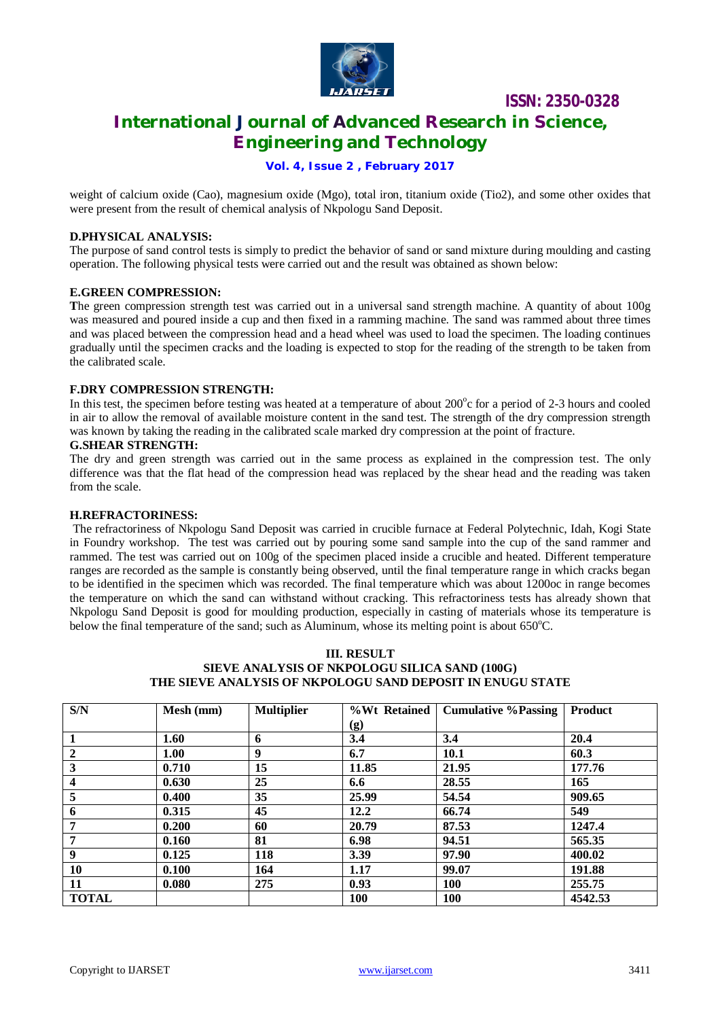

# **ISSN: 2350-0328 International Journal of Advanced Research in Science, Engineering and Technology**

**Vol. 4, Issue 2 , February 2017**

weight of calcium oxide (Cao), magnesium oxide (Mgo), total iron, titanium oxide (Tio2), and some other oxides that were present from the result of chemical analysis of Nkpologu Sand Deposit.

#### **D.PHYSICAL ANALYSIS:**

The purpose of sand control tests is simply to predict the behavior of sand or sand mixture during moulding and casting operation. The following physical tests were carried out and the result was obtained as shown below:

#### **E.GREEN COMPRESSION:**

**T**he green compression strength test was carried out in a universal sand strength machine. A quantity of about 100g was measured and poured inside a cup and then fixed in a ramming machine. The sand was rammed about three times and was placed between the compression head and a head wheel was used to load the specimen. The loading continues gradually until the specimen cracks and the loading is expected to stop for the reading of the strength to be taken from the calibrated scale.

#### **F.DRY COMPRESSION STRENGTH:**

In this test, the specimen before testing was heated at a temperature of about 200°c for a period of 2-3 hours and cooled in air to allow the removal of available moisture content in the sand test. The strength of the dry compression strength was known by taking the reading in the calibrated scale marked dry compression at the point of fracture.

#### **G.SHEAR STRENGTH:**

The dry and green strength was carried out in the same process as explained in the compression test. The only difference was that the flat head of the compression head was replaced by the shear head and the reading was taken from the scale.

#### **H.REFRACTORINESS:**

The refractoriness of Nkpologu Sand Deposit was carried in crucible furnace at Federal Polytechnic, Idah, Kogi State in Foundry workshop. The test was carried out by pouring some sand sample into the cup of the sand rammer and rammed. The test was carried out on 100g of the specimen placed inside a crucible and heated. Different temperature ranges are recorded as the sample is constantly being observed, until the final temperature range in which cracks began to be identified in the specimen which was recorded. The final temperature which was about 1200oc in range becomes the temperature on which the sand can withstand without cracking. This refractoriness tests has already shown that Nkpologu Sand Deposit is good for moulding production, especially in casting of materials whose its temperature is below the final temperature of the sand; such as Aluminum, whose its melting point is about 650°C.

#### **III. RESULT SIEVE ANALYSIS OF NKPOLOGU SILICA SAND (100G) THE SIEVE ANALYSIS OF NKPOLOGU SAND DEPOSIT IN ENUGU STATE**

| S/N                     | Mesh (mm) | <b>Multiplier</b> | %Wt Retained                | <b>Cumulative % Passing</b> | <b>Product</b> |
|-------------------------|-----------|-------------------|-----------------------------|-----------------------------|----------------|
|                         |           |                   | $\left( \mathbf{g} \right)$ |                             |                |
|                         | 1.60      | 6                 | 3.4                         | 3.4                         | 20.4           |
| $\boldsymbol{2}$        | 1.00      | 9                 | 6.7                         | 10.1                        | 60.3           |
| 3                       | 0.710     | 15                | 11.85                       | 21.95                       | 177.76         |
| $\overline{\mathbf{4}}$ | 0.630     | 25                | 6.6                         | 28.55                       | 165            |
| 5                       | 0.400     | 35                | 25.99                       | 54.54                       | 909.65         |
| 6                       | 0.315     | 45                | 12.2                        | 66.74                       | 549            |
| 7                       | 0.200     | 60                | 20.79                       | 87.53                       | 1247.4         |
| 7                       | 0.160     | 81                | 6.98                        | 94.51                       | 565.35         |
| 9                       | 0.125     | 118               | 3.39                        | 97.90                       | 400.02         |
| 10                      | 0.100     | 164               | 1.17                        | 99.07                       | 191.88         |
| 11                      | 0.080     | 275               | 0.93                        | <b>100</b>                  | 255.75         |
| <b>TOTAL</b>            |           |                   | 100                         | <b>100</b>                  | 4542.53        |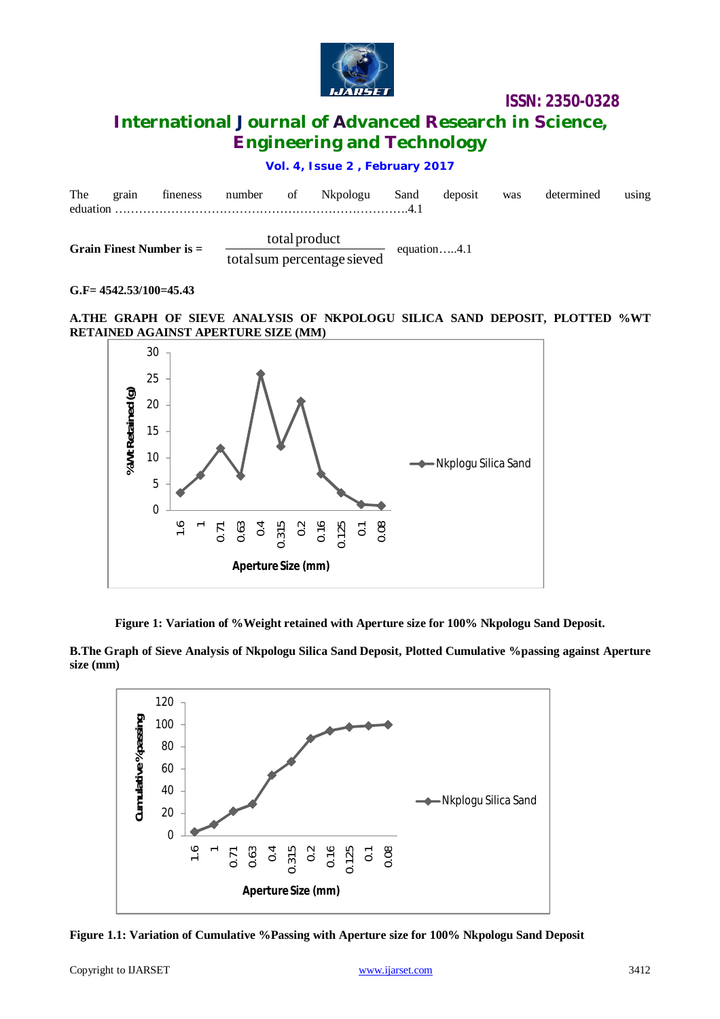

## **International Journal of Advanced Research in Science, Engineering and Technology**

#### **Vol. 4, Issue 2 , February 2017**

| The | grain | fineness                   | number of |               | Nkpologu                    | Sand | deposit        | was | determined | using |
|-----|-------|----------------------------|-----------|---------------|-----------------------------|------|----------------|-----|------------|-------|
|     |       | Grain Finest Number is $=$ |           | total product | total sum percentage sieved |      | equation $4.1$ |     |            |       |

#### **G.F= 4542.53/100=45.43**

#### **A.THE GRAPH OF SIEVE ANALYSIS OF NKPOLOGU SILICA SAND DEPOSIT, PLOTTED %WT RETAINED AGAINST APERTURE SIZE (MM)**



**Figure 1: Variation of %Weight retained with Aperture size for 100% Nkpologu Sand Deposit.**

**B.The Graph of Sieve Analysis of Nkpologu Silica Sand Deposit, Plotted Cumulative %passing against Aperture size (mm)**



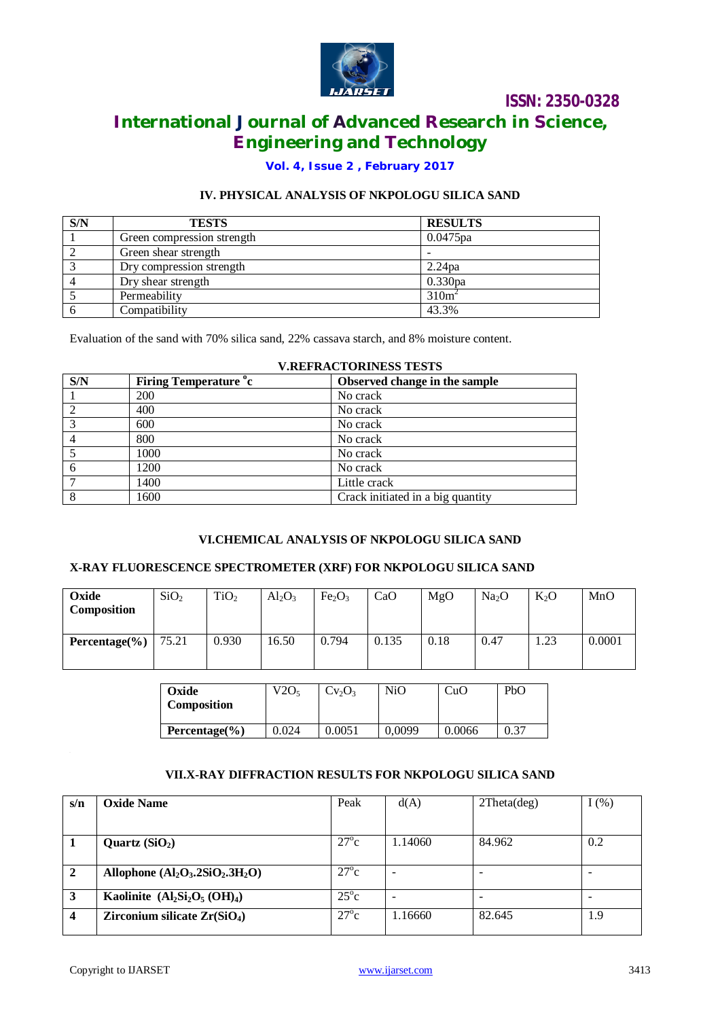

# **International Journal of Advanced Research in Science, Engineering and Technology**

#### **Vol. 4, Issue 2 , February 2017**

#### **IV. PHYSICAL ANALYSIS OF NKPOLOGU SILICA SAND**

| S/N            | <b>TESTS</b>               | <b>RESULTS</b>     |
|----------------|----------------------------|--------------------|
|                | Green compression strength | $0.0475$ pa        |
|                | Green shear strength       |                    |
|                | Dry compression strength   | 2.24 <sub>pa</sub> |
| $\overline{4}$ | Dry shear strength         | 0.330pa            |
|                | Permeability               | 310m <sup>2</sup>  |
|                | Compatibility              | 43.3%              |

Evaluation of the sand with 70% silica sand, 22% cassava starch, and 8% moisture content.

|     | V.NEFNACTONINESS TESTS       |                                   |  |  |  |  |  |
|-----|------------------------------|-----------------------------------|--|--|--|--|--|
| S/N | <b>Firing Temperature °c</b> | Observed change in the sample     |  |  |  |  |  |
|     | 200                          | No crack                          |  |  |  |  |  |
| 2   | 400                          | No crack                          |  |  |  |  |  |
| 3   | 600                          | No crack                          |  |  |  |  |  |
|     | 800                          | No crack                          |  |  |  |  |  |
|     | 1000                         | No crack                          |  |  |  |  |  |
| 6   | 1200                         | No crack                          |  |  |  |  |  |
|     | 1400                         | Little crack                      |  |  |  |  |  |
| 8   | 1600                         | Crack initiated in a big quantity |  |  |  |  |  |

### **V.REFRACTORINESS TESTS**

#### **VI.CHEMICAL ANALYSIS OF NKPOLOGU SILICA SAND**

#### **X-RAY FLUORESCENCE SPECTROMETER (XRF) FOR NKPOLOGU SILICA SAND**

| Oxide<br>Composition | SiO <sub>2</sub> | TiO <sub>2</sub> | $Al_2O_3$ | Fe <sub>2</sub> O <sub>3</sub> | CaO   | MgO  | Na <sub>2</sub> O | $K_2O$ | MnO    |
|----------------------|------------------|------------------|-----------|--------------------------------|-------|------|-------------------|--------|--------|
| Percentage $(\% )$   | 75.21            | 0.930            | 16.50     | 0.794                          | 0.135 | 0.18 | 0.47              | 1.23   | 0.0001 |

| Oxide<br><b>Composition</b> | V2O <sub>5</sub> | $Cv_2O_3$ | NiO    | CuO    | PbO  |
|-----------------------------|------------------|-----------|--------|--------|------|
| Percentage $(\% )$          | 0.024            | 0.0051    | 0.0099 | 0.0066 | 0.37 |

#### **VII.X-RAY DIFFRACTION RESULTS FOR NKPOLOGU SILICA SAND**

| s/n                     | <b>Oxide Name</b>                  | Peak          | d(A)    | $2$ Theta $(\text{deg})$ | $I(\%)$ |
|-------------------------|------------------------------------|---------------|---------|--------------------------|---------|
|                         |                                    |               |         |                          |         |
|                         | Quartz $(SiO2)$                    | $27^{\circ}c$ | 1.14060 | 84.962                   | 0.2     |
| $\overline{2}$          | Allophone $(Al_2O_3.2SiO_2.3H_2O)$ | $27^{\circ}c$ |         |                          |         |
| 3                       | Kaolinite $(Al_2Si_2O_5(OH)_4)$    | $25^{\circ}c$ |         |                          |         |
| $\overline{\mathbf{4}}$ | Zirconium silicate $Zr(SiO4)$      | $27^{\circ}c$ | 1.16660 | 82.645                   | 1.9     |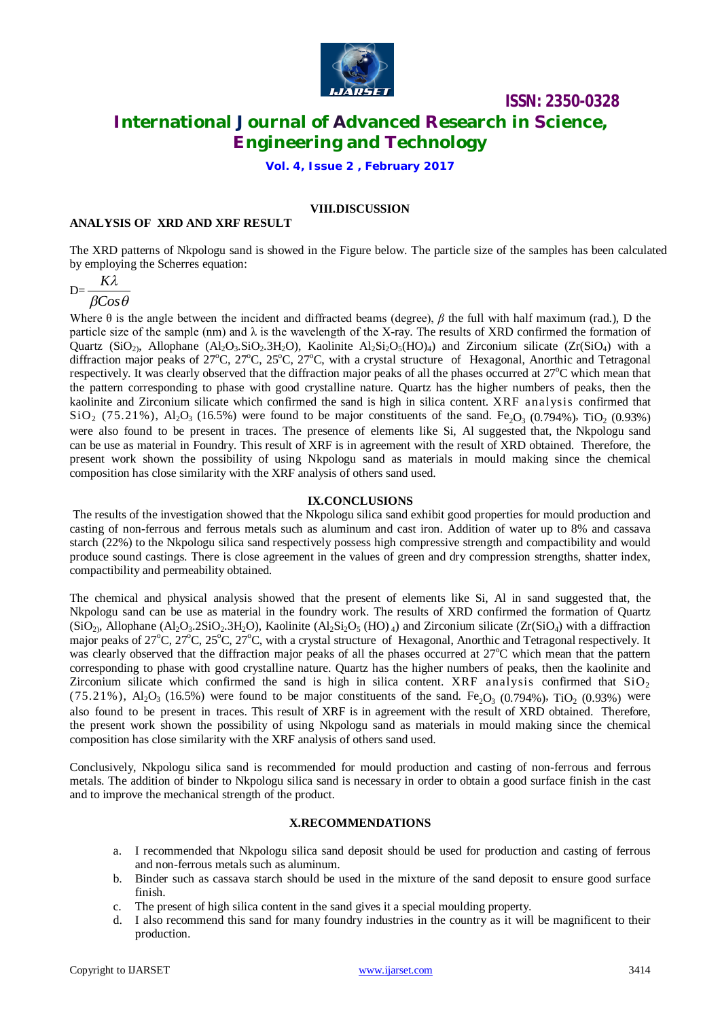

**ISSN: 2350-0328 International Journal of Advanced Research in Science, Engineering and Technology**

**Vol. 4, Issue 2 , February 2017**

#### **VIII.DISCUSSION**

#### **ANALYSIS OF XRD AND XRF RESULT**

The XRD patterns of Nkpologu sand is showed in the Figure below. The particle size of the samples has been calculated by employing the Scherres equation:

$$
D = \frac{K\lambda}{\beta Cos\theta}
$$

Where  $\theta$  is the angle between the incident and diffracted beams (degree),  $\beta$  the full with half maximum (rad.), D the particle size of the sample (nm) and  $\lambda$  is the wavelength of the X-ray. The results of XRD confirmed the formation of Quartz (SiO<sub>2</sub>), Allophane (Al<sub>2</sub>O<sub>3</sub>.SiO<sub>2</sub>.3H<sub>2</sub>O), Kaolinite Al<sub>2</sub>Si<sub>2</sub>O<sub>5</sub>(HO)<sub>4</sub>) and Zirconium silicate (Zr(SiO<sub>4</sub>) with a diffraction major peaks of 27°C, 27°C, 25°C, 27°C, with a crystal structure of Hexagonal, Anorthic and Tetragonal respectively. It was clearly observed that the diffraction major peaks of all the phases occurred at 27°C which mean that the pattern corresponding to phase with good crystalline nature. Quartz has the higher numbers of peaks, then the kaolinite and Zirconium silicate which confirmed the sand is high in silica content. XRF analysis confirmed that  $\rm SiO_2$  (75.21%), Al<sub>2</sub>O<sub>3</sub> (16.5%) were found to be major constituents of the sand. Fe<sub>2</sub>O<sub>3</sub> (0.794%), TiO<sub>2</sub> (0.93%) were also found to be present in traces. The presence of elements like Si, Al suggested that, the Nkpologu sand can be use as material in Foundry. This result of XRF is in agreement with the result of XRD obtained. Therefore, the present work shown the possibility of using Nkpologu sand as materials in mould making since the chemical composition has close similarity with the XRF analysis of others sand used.

#### **IX.CONCLUSIONS**

The results of the investigation showed that the Nkpologu silica sand exhibit good properties for mould production and casting of non-ferrous and ferrous metals such as aluminum and cast iron. Addition of water up to 8% and cassava starch (22%) to the Nkpologu silica sand respectively possess high compressive strength and compactibility and would produce sound castings. There is close agreement in the values of green and dry compression strengths, shatter index, compactibility and permeability obtained.

The chemical and physical analysis showed that the present of elements like Si, Al in sand suggested that, the Nkpologu sand can be use as material in the foundry work. The results of XRD confirmed the formation of Quartz  $(SiO_2)$ , Allophane  $(Al_2O_3.2SiO_2.3H_2O)$ , Kaolinite  $(Al_2Si_2O_5(HO)_4)$  and Zirconium silicate  $(Zr(SiO_4)$  with a diffraction major peaks of 27°C, 27°C, 25°C, 27°C, with a crystal structure of Hexagonal, Anorthic and Tetragonal respectively. It was clearly observed that the diffraction major peaks of all the phases occurred at 27°C which mean that the pattern corresponding to phase with good crystalline nature. Quartz has the higher numbers of peaks, then the kaolinite and Zirconium silicate which confirmed the sand is high in silica content. XRF analysis confirmed that  $SiO<sub>2</sub>$ (75.21%), Al<sub>2</sub>O<sub>3</sub> (16.5%) were found to be major constituents of the sand. Fe<sub>2</sub>O<sub>3</sub> (0.794%), TiO<sub>2</sub> (0.93%) were also found to be present in traces. This result of XRF is in agreement with the result of XRD obtained. Therefore, the present work shown the possibility of using Nkpologu sand as materials in mould making since the chemical composition has close similarity with the XRF analysis of others sand used.

Conclusively, Nkpologu silica sand is recommended for mould production and casting of non-ferrous and ferrous metals. The addition of binder to Nkpologu silica sand is necessary in order to obtain a good surface finish in the cast and to improve the mechanical strength of the product.

#### **X.RECOMMENDATIONS**

- a. I recommended that Nkpologu silica sand deposit should be used for production and casting of ferrous and non-ferrous metals such as aluminum.
- b. Binder such as cassava starch should be used in the mixture of the sand deposit to ensure good surface finish.
- c. The present of high silica content in the sand gives it a special moulding property.
- d. I also recommend this sand for many foundry industries in the country as it will be magnificent to their production.